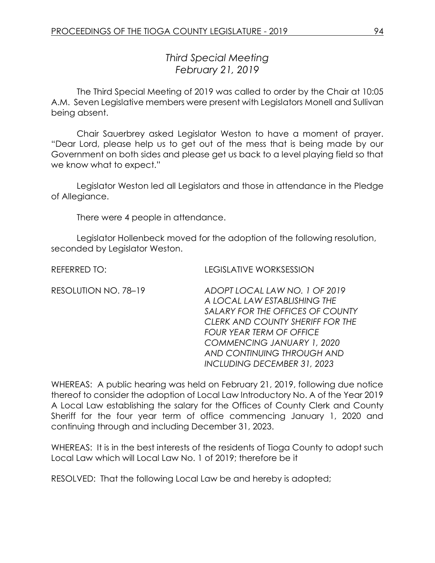*Third Special Meeting February 21, 2019*

The Third Special Meeting of 2019 was called to order by the Chair at 10:05 A.M. Seven Legislative members were present with Legislators Monell and Sullivan being absent.

Chair Sauerbrey asked Legislator Weston to have a moment of prayer. "Dear Lord, please help us to get out of the mess that is being made by our Government on both sides and please get us back to a level playing field so that we know what to expect."

Legislator Weston led all Legislators and those in attendance in the Pledge of Allegiance.

There were 4 people in attendance.

Legislator Hollenbeck moved for the adoption of the following resolution, seconded by Legislator Weston.

REFERRED TO: LEGISLATIVE WORKSESSION

| RESOLUTION NO. 78-19 | ADOPT LOCAL LAW NO. 1 OF 2019    |
|----------------------|----------------------------------|
|                      | A LOCAL LAW ESTABLISHING THE     |
|                      | SALARY FOR THE OFFICES OF COUNTY |
|                      | CLERK AND COUNTY SHERIFF FOR THE |
|                      | <b>FOUR YEAR TERM OF OFFICE</b>  |
|                      | COMMENCING JANUARY 1, 2020       |
|                      | AND CONTINUING THROUGH AND       |
|                      | INCLUDING DECEMBER 31, 2023      |
|                      |                                  |

WHEREAS: A public hearing was held on February 21, 2019, following due notice thereof to consider the adoption of Local Law Introductory No. A of the Year 2019 A Local Law establishing the salary for the Offices of County Clerk and County Sheriff for the four year term of office commencing January 1, 2020 and continuing through and including December 31, 2023.

WHEREAS: It is in the best interests of the residents of Tioga County to adopt such Local Law which will Local Law No. 1 of 2019; therefore be it

RESOLVED: That the following Local Law be and hereby is adopted;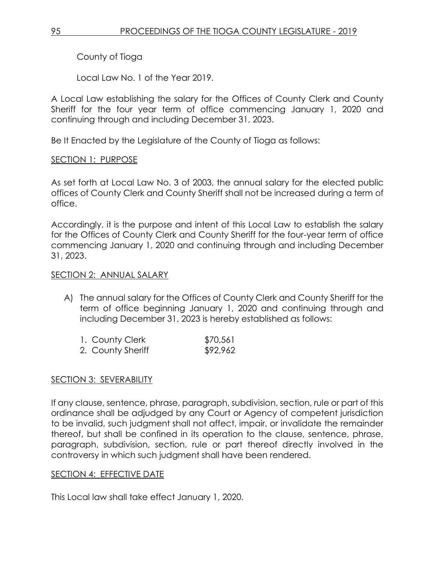County of Tioga

Local Law No. 1 of the Year 2019.

A Local Law establishing the salary for the Offices of County Clerk and County Sheriff for the four year term of office commencing January 1, 2020 and continuing through and including December 31, 2023.

Be It Enacted by the Legislature of the County of Tioga as follows:

# SECTION 1: PURPOSE

As set forth at Local Law No. 3 of 2003, the annual salary for the elected public offices of County Clerk and County Sheriff shall not be increased during a term of office.

Accordingly, it is the purpose and intent of this Local Law to establish the salary for the Offices of County Clerk and County Sheriff for the four-year term of office commencing January 1, 2020 and continuing through and including December 31, 2023.

## SECTION 2: ANNUAL SALARY

A) The annual salary for the Offices of County Clerk and County Sheriff for the term of office beginning January 1, 2020 and continuing through and including December 31, 2023 is hereby established as follows:

| 1. County Clerk   | \$70,561 |
|-------------------|----------|
| 2. County Sheriff | \$92,962 |

# SECTION 3: SEVERABILITY

If any clause, sentence, phrase, paragraph, subdivision, section, rule or part of this ordinance shall be adjudged by any Court or Agency of competent jurisdiction to be invalid, such judgment shall not affect, impair, or invalidate the remainder thereof, but shall be confined in its operation to the clause, sentence, phrase, paragraph, subdivision, section, rule or part thereof directly involved in the controversy in which such judgment shall have been rendered.

### SECTION 4: EFFECTIVE DATE

This Local law shall take effect January 1, 2020.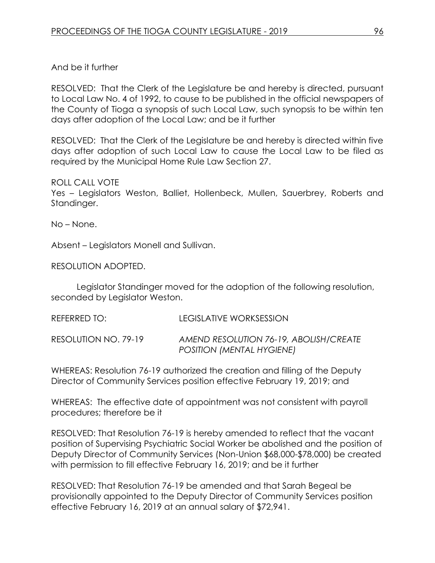## And be it further

RESOLVED: That the Clerk of the Legislature be and hereby is directed, pursuant to Local Law No. 4 of 1992, to cause to be published in the official newspapers of the County of Tioga a synopsis of such Local Law, such synopsis to be within ten days after adoption of the Local Law; and be it further

RESOLVED: That the Clerk of the Legislature be and hereby is directed within five days after adoption of such Local Law to cause the Local Law to be filed as required by the Municipal Home Rule Law Section 27.

#### ROLL CALL VOTE

Yes – Legislators Weston, Balliet, Hollenbeck, Mullen, Sauerbrey, Roberts and Standinger.

No – None.

Absent – Legislators Monell and Sullivan.

RESOLUTION ADOPTED.

Legislator Standinger moved for the adoption of the following resolution, seconded by Legislator Weston.

REFERRED TO: LEGISLATIVE WORKSESSION RESOLUTION NO. 79-19 *AMEND RESOLUTION 76-19, ABOLISH/CREATE POSITION (MENTAL HYGIENE)*

WHEREAS: Resolution 76-19 authorized the creation and filling of the Deputy Director of Community Services position effective February 19, 2019; and

WHEREAS: The effective date of appointment was not consistent with payroll procedures; therefore be it

RESOLVED: That Resolution 76-19 is hereby amended to reflect that the vacant position of Supervising Psychiatric Social Worker be abolished and the position of Deputy Director of Community Services (Non-Union \$68,000-\$78,000) be created with permission to fill effective February 16, 2019; and be it further

RESOLVED: That Resolution 76-19 be amended and that Sarah Begeal be provisionally appointed to the Deputy Director of Community Services position effective February 16, 2019 at an annual salary of \$72,941.